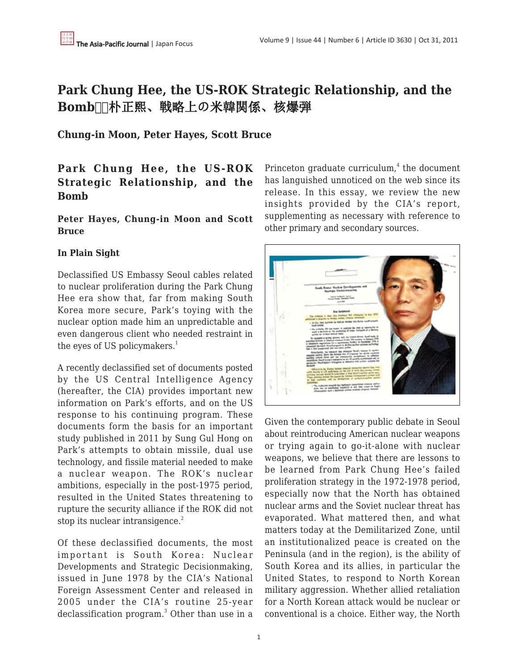# **Park Chung Hee, the US-ROK Strategic Relationship, and the Bomb** Ⅲ 朴正熙、戦略上の米韓関係、核爆弾

**Chung-in Moon, Peter Hayes, Scott Bruce**

# **Park Chung Hee, the US-ROK Strategic Relationship, and the Bomb**

### **Peter Hayes, Chung-in Moon and Scott Bruce**

# **In Plain Sight**

Declassified US Embassy Seoul cables related to nuclear proliferation during the Park Chung Hee era show that, far from making South Korea more secure, Park's toying with the nuclear option made him an unpredictable and even dangerous client who needed restraint in the eyes of US policymakers. $<sup>1</sup>$ </sup>

A recently declassified set of documents posted by the US Central Intelligence Agency (hereafter, the CIA) provides important new information on Park's efforts, and on the US response to his continuing program. These documents form the basis for an important study published in 2011 by Sung Gul Hong on Park's attempts to obtain missile, dual use technology, and fissile material needed to make a nuclear weapon. The ROK's nuclear ambitions, especially in the post-1975 period, resulted in the United States threatening to rupture the security alliance if the ROK did not stop its nuclear intransigence.<sup>2</sup>

Of these declassified documents, the most important is South Korea: Nuclear Developments and Strategic Decisionmaking, issued in June 1978 by the CIA's National Foreign Assessment Center and released in 2005 under the CIA's routine 25-year declassification program.<sup>3</sup> Other than use in a

Princeton graduate curriculum, $<sup>4</sup>$  the document</sup> has languished unnoticed on the web since its release. In this essay, we review the new insights provided by the CIA's report, supplementing as necessary with reference to other primary and secondary sources.



Given the contemporary public debate in Seoul about reintroducing American nuclear weapons or trying again to go-it-alone with nuclear weapons, we believe that there are lessons to be learned from Park Chung Hee's failed proliferation strategy in the 1972-1978 period, especially now that the North has obtained nuclear arms and the Soviet nuclear threat has evaporated. What mattered then, and what matters today at the Demilitarized Zone, until an institutionalized peace is created on the Peninsula (and in the region), is the ability of South Korea and its allies, in particular the United States, to respond to North Korean military aggression. Whether allied retaliation for a North Korean attack would be nuclear or conventional is a choice. Either way, the North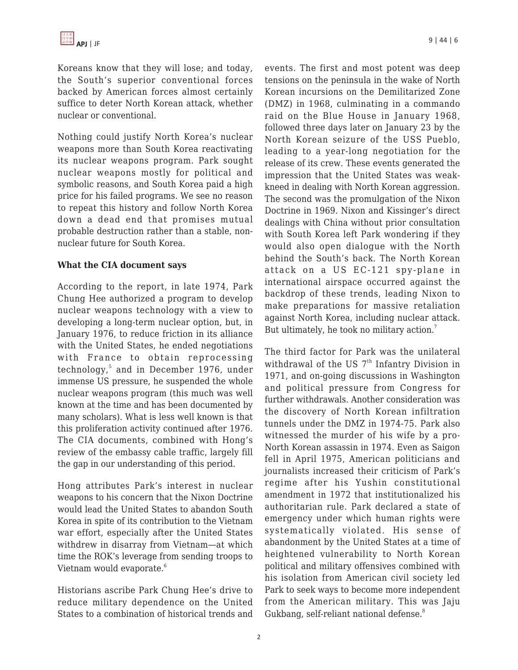Koreans know that they will lose; and today, the South's superior conventional forces backed by American forces almost certainly suffice to deter North Korean attack, whether nuclear or conventional.

Nothing could justify North Korea's nuclear weapons more than South Korea reactivating its nuclear weapons program. Park sought nuclear weapons mostly for political and symbolic reasons, and South Korea paid a high price for his failed programs. We see no reason to repeat this history and follow North Korea down a dead end that promises mutual probable destruction rather than a stable, nonnuclear future for South Korea.

#### **What the CIA document says**

According to the report, in late 1974, Park Chung Hee authorized a program to develop nuclear weapons technology with a view to developing a long-term nuclear option, but, in January 1976, to reduce friction in its alliance with the United States, he ended negotiations with France to obtain reprocessing technology,<sup>5</sup> and in December 1976, under immense US pressure, he suspended the whole nuclear weapons program (this much was well known at the time and has been documented by many scholars). What is less well known is that this proliferation activity continued after 1976. The CIA documents, combined with Hong's review of the embassy cable traffic, largely fill the gap in our understanding of this period.

Hong attributes Park's interest in nuclear weapons to his concern that the Nixon Doctrine would lead the United States to abandon South Korea in spite of its contribution to the Vietnam war effort, especially after the United States withdrew in disarray from Vietnam—at which time the ROK's leverage from sending troops to Vietnam would evaporate.<sup>6</sup>

Historians ascribe Park Chung Hee's drive to reduce military dependence on the United States to a combination of historical trends and events. The first and most potent was deep tensions on the peninsula in the wake of North Korean incursions on the Demilitarized Zone (DMZ) in 1968, culminating in a commando raid on the Blue House in January 1968, followed three days later on January 23 by the North Korean seizure of the USS Pueblo, leading to a year-long negotiation for the release of its crew. These events generated the impression that the United States was weakkneed in dealing with North Korean aggression. The second was the promulgation of the Nixon Doctrine in 1969. Nixon and Kissinger's direct dealings with China without prior consultation with South Korea left Park wondering if they would also open dialogue with the North behind the South's back. The North Korean attack on a US EC-121 spy-plane in international airspace occurred against the backdrop of these trends, leading Nixon to make preparations for massive retaliation against North Korea, including nuclear attack. But ultimately, he took no military action.<sup>7</sup>

The third factor for Park was the unilateral withdrawal of the US  $7<sup>th</sup>$  Infantry Division in 1971, and on-going discussions in Washington and political pressure from Congress for further withdrawals. Another consideration was the discovery of North Korean infiltration tunnels under the DMZ in 1974-75. Park also witnessed the murder of his wife by a pro-North Korean assassin in 1974. Even as Saigon fell in April 1975, American politicians and journalists increased their criticism of Park's regime after his Yushin constitutional amendment in 1972 that institutionalized his authoritarian rule. Park declared a state of emergency under which human rights were systematically violated. His sense of abandonment by the United States at a time of heightened vulnerability to North Korean political and military offensives combined with his isolation from American civil society led Park to seek ways to become more independent from the American military. This was Jaju Gukbang, self-reliant national defense.<sup>8</sup>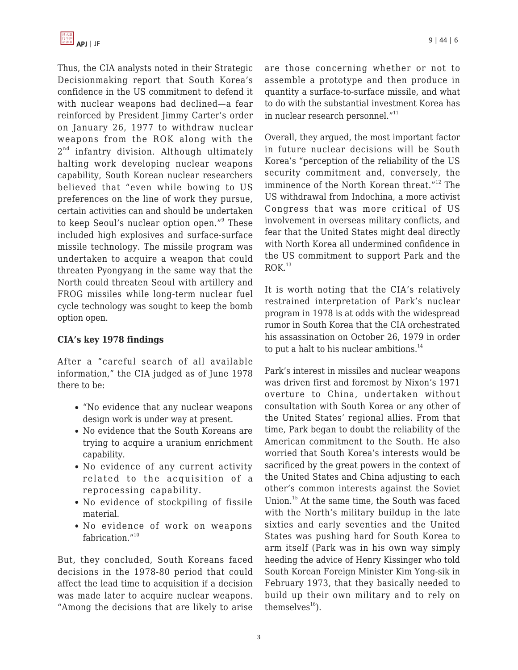Thus, the CIA analysts noted in their Strategic Decisionmaking report that South Korea's confidence in the US commitment to defend it with nuclear weapons had declined—a fear reinforced by President Jimmy Carter's order on January 26, 1977 to withdraw nuclear weapons from the ROK along with the 2<sup>nd</sup> infantry division. Although ultimately halting work developing nuclear weapons capability, South Korean nuclear researchers believed that "even while bowing to US preferences on the line of work they pursue, certain activities can and should be undertaken to keep Seoul's nuclear option open."<sup>9</sup> These included high explosives and surface-surface missile technology. The missile program was undertaken to acquire a weapon that could threaten Pyongyang in the same way that the North could threaten Seoul with artillery and FROG missiles while long-term nuclear fuel cycle technology was sought to keep the bomb option open.

# **CIA's key 1978 findings**

After a "careful search of all available information," the CIA judged as of June 1978 there to be:

- "No evidence that any nuclear weapons design work is under way at present.
- No evidence that the South Koreans are trying to acquire a uranium enrichment capability.
- No evidence of any current activity related to the acquisition of a reprocessing capability.
- No evidence of stockpiling of fissile material.
- No evidence of work on weapons fabrication."<sup>10</sup>

But, they concluded, South Koreans faced decisions in the 1978-80 period that could affect the lead time to acquisition if a decision was made later to acquire nuclear weapons. "Among the decisions that are likely to arise are those concerning whether or not to assemble a prototype and then produce in quantity a surface-to-surface missile, and what to do with the substantial investment Korea has in nuclear research personnel."<sup>11</sup>

Overall, they argued, the most important factor in future nuclear decisions will be South Korea's "perception of the reliability of the US security commitment and, conversely, the imminence of the North Korean threat."<sup>12</sup> The US withdrawal from Indochina, a more activist Congress that was more critical of US involvement in overseas military conflicts, and fear that the United States might deal directly with North Korea all undermined confidence in the US commitment to support Park and the  $ROK.<sup>13</sup>$ 

It is worth noting that the CIA's relatively restrained interpretation of Park's nuclear program in 1978 is at odds with the widespread rumor in South Korea that the CIA orchestrated his assassination on October 26, 1979 in order to put a halt to his nuclear ambitions. $^{14}$ 

Park's interest in missiles and nuclear weapons was driven first and foremost by Nixon's 1971 overture to China, undertaken without consultation with South Korea or any other of the United States' regional allies. From that time, Park began to doubt the reliability of the American commitment to the South. He also worried that South Korea's interests would be sacrificed by the great powers in the context of the United States and China adjusting to each other's common interests against the Soviet Union.<sup>15</sup> At the same time, the South was faced with the North's military buildup in the late sixties and early seventies and the United States was pushing hard for South Korea to arm itself (Park was in his own way simply heeding the advice of Henry Kissinger who told South Korean Foreign Minister Kim Yong-sik in February 1973, that they basically needed to build up their own military and to rely on themselves $^{16}$ ).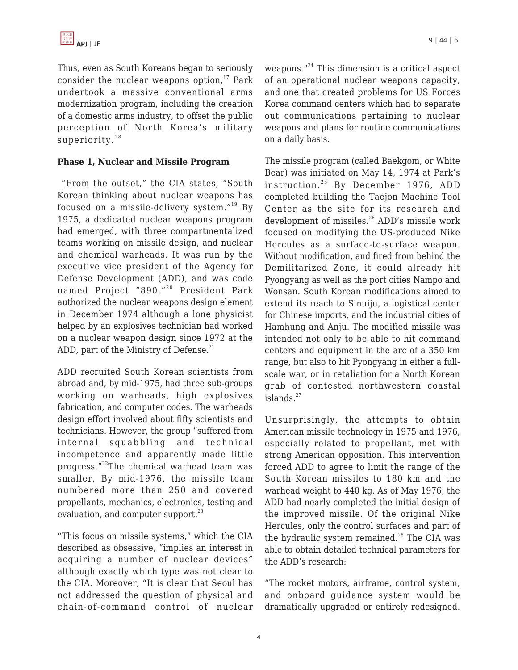Thus, even as South Koreans began to seriously consider the nuclear weapons option, $17$  Park undertook a massive conventional arms modernization program, including the creation of a domestic arms industry, to offset the public perception of North Korea's military superiority. $18$ 

#### **Phase 1, Nuclear and Missile Program**

 "From the outset," the CIA states, "South Korean thinking about nuclear weapons has focused on a missile-delivery system."<sup>19</sup> By 1975, a dedicated nuclear weapons program had emerged, with three compartmentalized teams working on missile design, and nuclear and chemical warheads. It was run by the executive vice president of the Agency for Defense Development (ADD), and was code named Project "890."<sup>20</sup> President Park authorized the nuclear weapons design element in December 1974 although a lone physicist helped by an explosives technician had worked on a nuclear weapon design since 1972 at the ADD, part of the Ministry of Defense. $^{21}$ 

ADD recruited South Korean scientists from abroad and, by mid-1975, had three sub-groups working on warheads, high explosives fabrication, and computer codes. The warheads design effort involved about fifty scientists and technicians. However, the group "suffered from internal squabbling and technical incompetence and apparently made little progress."<sup>22</sup>The chemical warhead team was smaller, By mid-1976, the missile team numbered more than 250 and covered propellants, mechanics, electronics, testing and evaluation, and computer support. $^{23}$ 

"This focus on missile systems," which the CIA described as obsessive, "implies an interest in acquiring a number of nuclear devices" although exactly which type was not clear to the CIA. Moreover, "It is clear that Seoul has not addressed the question of physical and chain-of-command control of nuclear weapons."<sup>24</sup> This dimension is a critical aspect of an operational nuclear weapons capacity, and one that created problems for US Forces Korea command centers which had to separate out communications pertaining to nuclear weapons and plans for routine communications on a daily basis.

The missile program (called Baekgom, or White Bear) was initiated on May 14, 1974 at Park's instruction.<sup>25</sup> By December 1976, ADD completed building the Taejon Machine Tool Center as the site for its research and development of missiles.<sup>26</sup> ADD's missile work focused on modifying the US-produced Nike Hercules as a surface-to-surface weapon. Without modification, and fired from behind the Demilitarized Zone, it could already hit Pyongyang as well as the port cities Nampo and Wonsan. South Korean modifications aimed to extend its reach to Sinuiju, a logistical center for Chinese imports, and the industrial cities of Hamhung and Anju. The modified missile was intended not only to be able to hit command centers and equipment in the arc of a 350 km range, but also to hit Pyongyang in either a fullscale war, or in retaliation for a North Korean grab of contested northwestern coastal islands. $27$ 

Unsurprisingly, the attempts to obtain American missile technology in 1975 and 1976, especially related to propellant, met with strong American opposition. This intervention forced ADD to agree to limit the range of the South Korean missiles to 180 km and the warhead weight to 440 kg. As of May 1976, the ADD had nearly completed the initial design of the improved missile. Of the original Nike Hercules, only the control surfaces and part of the hydraulic system remained. $^{28}$  The CIA was able to obtain detailed technical parameters for the ADD's research:

"The rocket motors, airframe, control system, and onboard guidance system would be dramatically upgraded or entirely redesigned.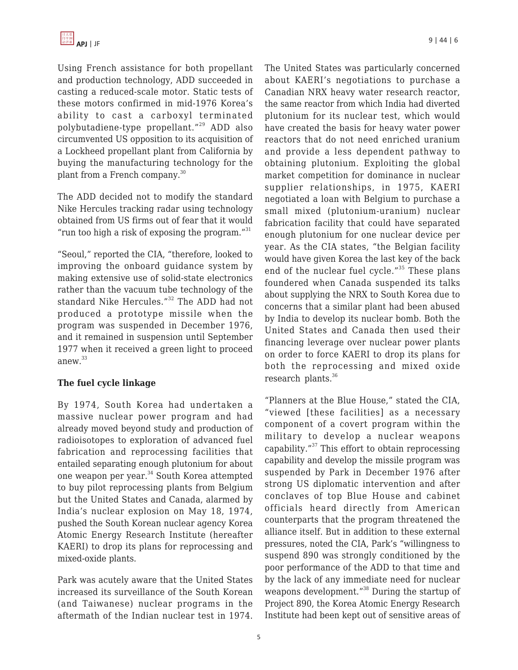Using French assistance for both propellant and production technology, ADD succeeded in casting a reduced-scale motor. Static tests of these motors confirmed in mid-1976 Korea's ability to cast a carboxyl terminated polybutadiene-type propellant."<sup>29</sup> ADD also circumvented US opposition to its acquisition of a Lockheed propellant plant from California by buying the manufacturing technology for the plant from a French company.<sup>30</sup>

The ADD decided not to modify the standard Nike Hercules tracking radar using technology obtained from US firms out of fear that it would "run too high a risk of exposing the program." $31$ 

"Seoul," reported the CIA, "therefore, looked to improving the onboard guidance system by making extensive use of solid-state electronics rather than the vacuum tube technology of the standard Nike Hercules."<sup>32</sup> The ADD had not produced a prototype missile when the program was suspended in December 1976, and it remained in suspension until September 1977 when it received a green light to proceed anew.<sup>33</sup>

#### **The fuel cycle linkage**

By 1974, South Korea had undertaken a massive nuclear power program and had already moved beyond study and production of radioisotopes to exploration of advanced fuel fabrication and reprocessing facilities that entailed separating enough plutonium for about one weapon per year.<sup>34</sup> South Korea attempted to buy pilot reprocessing plants from Belgium but the United States and Canada, alarmed by India's nuclear explosion on May 18, 1974, pushed the South Korean nuclear agency Korea Atomic Energy Research Institute (hereafter KAERI) to drop its plans for reprocessing and mixed-oxide plants.

Park was acutely aware that the United States increased its surveillance of the South Korean (and Taiwanese) nuclear programs in the aftermath of the Indian nuclear test in 1974.

The United States was particularly concerned about KAERI's negotiations to purchase a Canadian NRX heavy water research reactor, the same reactor from which India had diverted plutonium for its nuclear test, which would have created the basis for heavy water power reactors that do not need enriched uranium and provide a less dependent pathway to obtaining plutonium. Exploiting the global market competition for dominance in nuclear supplier relationships, in 1975, KAERI negotiated a loan with Belgium to purchase a small mixed (plutonium-uranium) nuclear fabrication facility that could have separated enough plutonium for one nuclear device per year. As the CIA states, "the Belgian facility would have given Korea the last key of the back end of the nuclear fuel cycle."<sup>35</sup> These plans foundered when Canada suspended its talks about supplying the NRX to South Korea due to concerns that a similar plant had been abused by India to develop its nuclear bomb. Both the United States and Canada then used their financing leverage over nuclear power plants on order to force KAERI to drop its plans for both the reprocessing and mixed oxide research plants.<sup>36</sup>

"Planners at the Blue House," stated the CIA, "viewed [these facilities] as a necessary component of a covert program within the military to develop a nuclear weapons capability."<sup>37</sup> This effort to obtain reprocessing capability and develop the missile program was suspended by Park in December 1976 after strong US diplomatic intervention and after conclaves of top Blue House and cabinet officials heard directly from American counterparts that the program threatened the alliance itself. But in addition to these external pressures, noted the CIA, Park's "willingness to suspend 890 was strongly conditioned by the poor performance of the ADD to that time and by the lack of any immediate need for nuclear weapons development."<sup>38</sup> During the startup of Project 890, the Korea Atomic Energy Research Institute had been kept out of sensitive areas of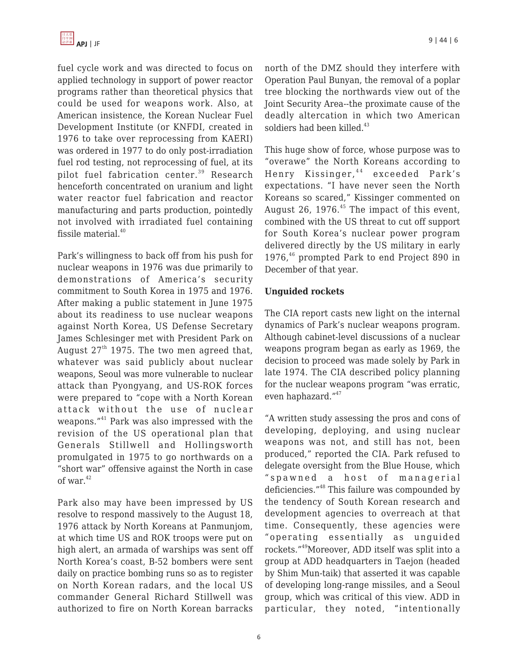fuel cycle work and was directed to focus on applied technology in support of power reactor programs rather than theoretical physics that could be used for weapons work. Also, at American insistence, the Korean Nuclear Fuel Development Institute (or KNFDI, created in 1976 to take over reprocessing from KAERI) was ordered in 1977 to do only post-irradiation fuel rod testing, not reprocessing of fuel, at its pilot fuel fabrication center.<sup>39</sup> Research henceforth concentrated on uranium and light water reactor fuel fabrication and reactor manufacturing and parts production, pointedly not involved with irradiated fuel containing fissile material.<sup>40</sup>

Park's willingness to back off from his push for nuclear weapons in 1976 was due primarily to demonstrations of America's security commitment to South Korea in 1975 and 1976. After making a public statement in June 1975 about its readiness to use nuclear weapons against North Korea, US Defense Secretary James Schlesinger met with President Park on August  $27<sup>th</sup>$  1975. The two men agreed that, whatever was said publicly about nuclear weapons, Seoul was more vulnerable to nuclear attack than Pyongyang, and US-ROK forces were prepared to "cope with a North Korean attack without the use of nuclear weapons."<sup>41</sup> Park was also impressed with the revision of the US operational plan that Generals Stillwell and Hollingsworth promulgated in 1975 to go northwards on a "short war" offensive against the North in case of war. $42$ 

Park also may have been impressed by US resolve to respond massively to the August 18, 1976 attack by North Koreans at Panmunjom, at which time US and ROK troops were put on high alert, an armada of warships was sent off North Korea's coast, B-52 bombers were sent daily on practice bombing runs so as to register on North Korean radars, and the local US commander General Richard Stillwell was authorized to fire on North Korean barracks north of the DMZ should they interfere with Operation Paul Bunyan, the removal of a poplar tree blocking the northwards view out of the Joint Security Area--the proximate cause of the deadly altercation in which two American soldiers had been killed. $43$ 

This huge show of force, whose purpose was to "overawe" the North Koreans according to Henry Kissinger, <sup>44</sup> exceeded Park's expectations. "I have never seen the North Koreans so scared," Kissinger commented on August 26, 1976.<sup>45</sup> The impact of this event, combined with the US threat to cut off support for South Korea's nuclear power program delivered directly by the US military in early 1976,<sup>46</sup> prompted Park to end Project 890 in December of that year.

### **Unguided rockets**

The CIA report casts new light on the internal dynamics of Park's nuclear weapons program. Although cabinet-level discussions of a nuclear weapons program began as early as 1969, the decision to proceed was made solely by Park in late 1974. The CIA described policy planning for the nuclear weapons program "was erratic, even haphazard."<sup>47</sup>

"A written study assessing the pros and cons of developing, deploying, and using nuclear weapons was not, and still has not, been produced," reported the CIA. Park refused to delegate oversight from the Blue House, which "spawned a host of managerial deficiencies."<sup>48</sup> This failure was compounded by the tendency of South Korean research and development agencies to overreach at that time. Consequently, these agencies were "operating essentially as unguided rockets."<sup>49</sup>Moreover, ADD itself was split into a group at ADD headquarters in Taejon (headed by Shim Mun-taik) that asserted it was capable of developing long-range missiles, and a Seoul group, which was critical of this view. ADD in particular, they noted, "intentionally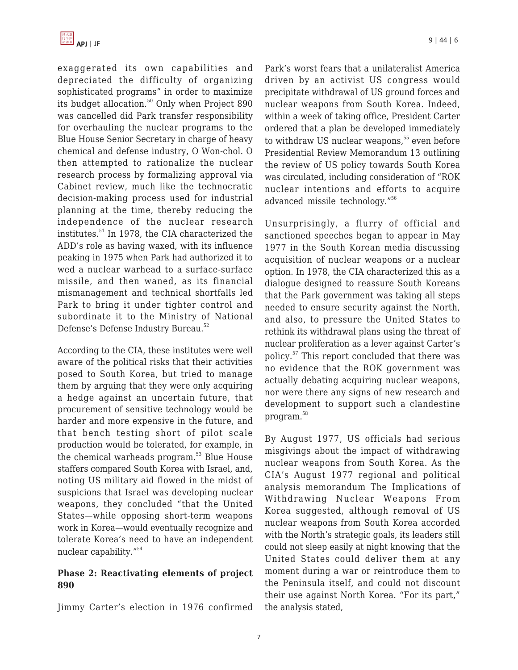

exaggerated its own capabilities and depreciated the difficulty of organizing sophisticated programs" in order to maximize its budget allocation. $50$  Only when Project 890 was cancelled did Park transfer responsibility for overhauling the nuclear programs to the Blue House Senior Secretary in charge of heavy chemical and defense industry, O Won-chol. O then attempted to rationalize the nuclear research process by formalizing approval via Cabinet review, much like the technocratic decision-making process used for industrial planning at the time, thereby reducing the independence of the nuclear research institutes.<sup>51</sup> In 1978, the CIA characterized the ADD's role as having waxed, with its influence peaking in 1975 when Park had authorized it to wed a nuclear warhead to a surface-surface missile, and then waned, as its financial mismanagement and technical shortfalls led Park to bring it under tighter control and subordinate it to the Ministry of National Defense's Defense Industry Bureau.<sup>52</sup>

According to the CIA, these institutes were well aware of the political risks that their activities posed to South Korea, but tried to manage them by arguing that they were only acquiring a hedge against an uncertain future, that procurement of sensitive technology would be harder and more expensive in the future, and that bench testing short of pilot scale production would be tolerated, for example, in the chemical warheads program.<sup>53</sup> Blue House staffers compared South Korea with Israel, and, noting US military aid flowed in the midst of suspicions that Israel was developing nuclear weapons, they concluded "that the United States—while opposing short-term weapons work in Korea—would eventually recognize and tolerate Korea's need to have an independent nuclear capability."<sup>54</sup>

#### **Phase 2: Reactivating elements of project 890**

Jimmy Carter's election in 1976 confirmed

Park's worst fears that a unilateralist America driven by an activist US congress would precipitate withdrawal of US ground forces and nuclear weapons from South Korea. Indeed, within a week of taking office, President Carter ordered that a plan be developed immediately to withdraw US nuclear weapons.<sup>55</sup> even before Presidential Review Memorandum 13 outlining the review of US policy towards South Korea was circulated, including consideration of "ROK nuclear intentions and efforts to acquire advanced missile technology."<sup>56</sup>

Unsurprisingly, a flurry of official and sanctioned speeches began to appear in May 1977 in the South Korean media discussing acquisition of nuclear weapons or a nuclear option. In 1978, the CIA characterized this as a dialogue designed to reassure South Koreans that the Park government was taking all steps needed to ensure security against the North, and also, to pressure the United States to rethink its withdrawal plans using the threat of nuclear proliferation as a lever against Carter's policy.<sup>57</sup> This report concluded that there was no evidence that the ROK government was actually debating acquiring nuclear weapons, nor were there any signs of new research and development to support such a clandestine program.<sup>58</sup>

By August 1977, US officials had serious misgivings about the impact of withdrawing nuclear weapons from South Korea. As the CIA's August 1977 regional and political analysis memorandum The Implications of Withdrawing Nuclear Weapons From Korea suggested, although removal of US nuclear weapons from South Korea accorded with the North's strategic goals, its leaders still could not sleep easily at night knowing that the United States could deliver them at any moment during a war or reintroduce them to the Peninsula itself, and could not discount their use against North Korea. "For its part," the analysis stated,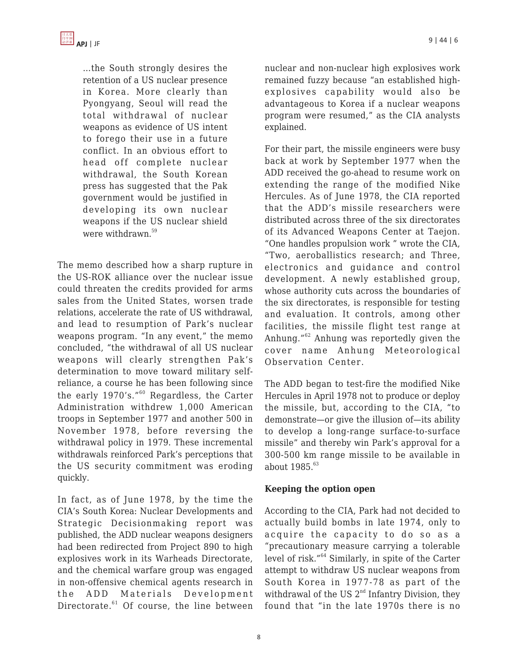

…the South strongly desires the retention of a US nuclear presence in Korea. More clearly than Pyongyang, Seoul will read the total withdrawal of nuclear weapons as evidence of US intent to forego their use in a future conflict. In an obvious effort to head off complete nuclear withdrawal, the South Korean press has suggested that the Pak government would be justified in developing its own nuclear weapons if the US nuclear shield were withdrawn.<sup>59</sup>

The memo described how a sharp rupture in the US-ROK alliance over the nuclear issue could threaten the credits provided for arms sales from the United States, worsen trade relations, accelerate the rate of US withdrawal, and lead to resumption of Park's nuclear weapons program. "In any event," the memo concluded, "the withdrawal of all US nuclear weapons will clearly strengthen Pak's determination to move toward military selfreliance, a course he has been following since the early 1970's."<sup>60</sup> Regardless, the Carter Administration withdrew 1,000 American troops in September 1977 and another 500 in November 1978, before reversing the withdrawal policy in 1979. These incremental withdrawals reinforced Park's perceptions that the US security commitment was eroding quickly.

In fact, as of June 1978, by the time the CIA's South Korea: Nuclear Developments and Strategic Decisionmaking report was published, the ADD nuclear weapons designers had been redirected from Project 890 to high explosives work in its Warheads Directorate, and the chemical warfare group was engaged in non-offensive chemical agents research in the ADD Materials Development Directorate.<sup>61</sup> Of course, the line between nuclear and non-nuclear high explosives work remained fuzzy because "an established highexplosives capability would also be advantageous to Korea if a nuclear weapons program were resumed," as the CIA analysts explained.

For their part, the missile engineers were busy back at work by September 1977 when the ADD received the go-ahead to resume work on extending the range of the modified Nike Hercules. As of June 1978, the CIA reported that the ADD's missile researchers were distributed across three of the six directorates of its Advanced Weapons Center at Taejon. "One handles propulsion work " wrote the CIA, "Two, aeroballistics research; and Three, electronics and guidance and control development. A newly established group, whose authority cuts across the boundaries of the six directorates, is responsible for testing and evaluation. It controls, among other facilities, the missile flight test range at Anhung."<sup>62</sup> Anhung was reportedly given the cover name Anhung Meteorological Observation Center.

The ADD began to test-fire the modified Nike Hercules in April 1978 not to produce or deploy the missile, but, according to the CIA, "to demonstrate—or give the illusion of—its ability to develop a long-range surface-to-surface missile" and thereby win Park's approval for a 300-500 km range missile to be available in about 1985.<sup>63</sup>

#### **Keeping the option open**

According to the CIA, Park had not decided to actually build bombs in late 1974, only to acquire the capacity to do so as a "precautionary measure carrying a tolerable level of risk."<sup>64</sup> Similarly, in spite of the Carter attempt to withdraw US nuclear weapons from South Korea in 1977-78 as part of the withdrawal of the US  $2<sup>nd</sup>$  Infantry Division, they found that "in the late 1970s there is no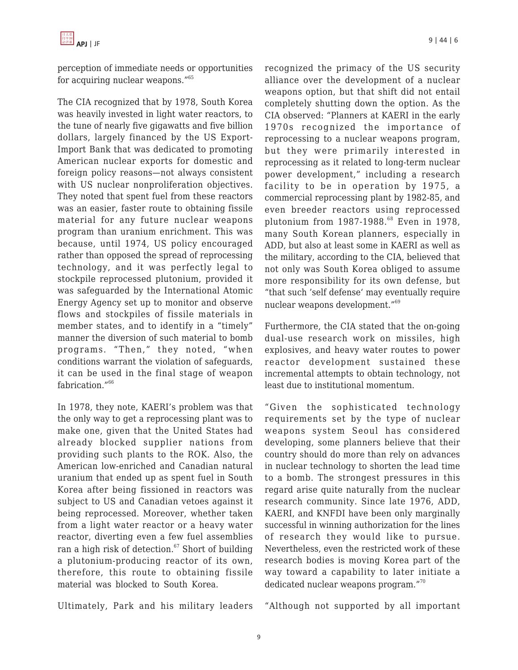

perception of immediate needs or opportunities for acquiring nuclear weapons."<sup>65</sup>

The CIA recognized that by 1978, South Korea was heavily invested in light water reactors, to the tune of nearly five gigawatts and five billion dollars, largely financed by the US Export-Import Bank that was dedicated to promoting American nuclear exports for domestic and foreign policy reasons—not always consistent with US nuclear nonproliferation objectives. They noted that spent fuel from these reactors was an easier, faster route to obtaining fissile material for any future nuclear weapons program than uranium enrichment. This was because, until 1974, US policy encouraged rather than opposed the spread of reprocessing technology, and it was perfectly legal to stockpile reprocessed plutonium, provided it was safeguarded by the International Atomic Energy Agency set up to monitor and observe flows and stockpiles of fissile materials in member states, and to identify in a "timely" manner the diversion of such material to bomb programs. "Then," they noted, "when conditions warrant the violation of safeguards, it can be used in the final stage of weapon fabrication.<sup>"66</sup>

In 1978, they note, KAERI's problem was that the only way to get a reprocessing plant was to make one, given that the United States had already blocked supplier nations from providing such plants to the ROK. Also, the American low-enriched and Canadian natural uranium that ended up as spent fuel in South Korea after being fissioned in reactors was subject to US and Canadian vetoes against it being reprocessed. Moreover, whether taken from a light water reactor or a heavy water reactor, diverting even a few fuel assemblies ran a high risk of detection. $67$  Short of building a plutonium-producing reactor of its own, therefore, this route to obtaining fissile material was blocked to South Korea.

Ultimately, Park and his military leaders

recognized the primacy of the US security alliance over the development of a nuclear weapons option, but that shift did not entail completely shutting down the option. As the CIA observed: "Planners at KAERI in the early 1970s recognized the importance of reprocessing to a nuclear weapons program, but they were primarily interested in reprocessing as it related to long-term nuclear power development," including a research facility to be in operation by 1975, a commercial reprocessing plant by 1982-85, and even breeder reactors using reprocessed plutonium from 1987-1988.<sup>68</sup> Even in 1978, many South Korean planners, especially in ADD, but also at least some in KAERI as well as the military, according to the CIA, believed that not only was South Korea obliged to assume more responsibility for its own defense, but "that such 'self defense' may eventually require nuclear weapons development."<sup>69</sup>

Furthermore, the CIA stated that the on-going dual-use research work on missiles, high explosives, and heavy water routes to power reactor development sustained these incremental attempts to obtain technology, not least due to institutional momentum.

"Given the sophisticated technology requirements set by the type of nuclear weapons system Seoul has considered developing, some planners believe that their country should do more than rely on advances in nuclear technology to shorten the lead time to a bomb. The strongest pressures in this regard arise quite naturally from the nuclear research community. Since late 1976, ADD, KAERI, and KNFDI have been only marginally successful in winning authorization for the lines of research they would like to pursue. Nevertheless, even the restricted work of these research bodies is moving Korea part of the way toward a capability to later initiate a dedicated nuclear weapons program."<sup>70</sup>

"Although not supported by all important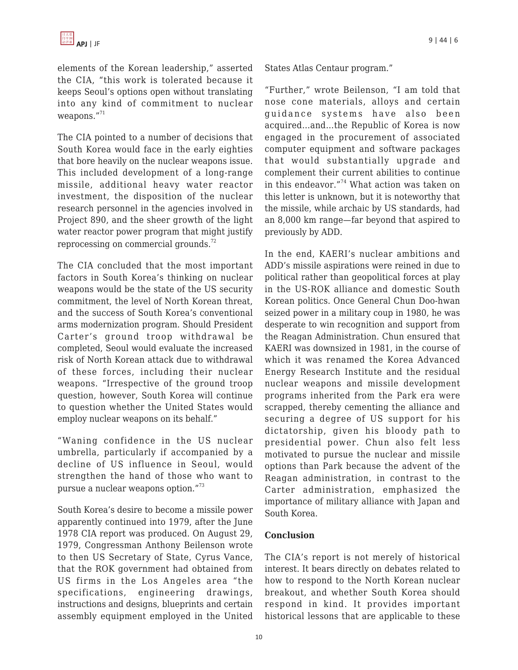elements of the Korean leadership," asserted the CIA, "this work is tolerated because it keeps Seoul's options open without translating into any kind of commitment to nuclear weapons."<sup>71</sup>

The CIA pointed to a number of decisions that South Korea would face in the early eighties that bore heavily on the nuclear weapons issue. This included development of a long-range missile, additional heavy water reactor investment, the disposition of the nuclear research personnel in the agencies involved in Project 890, and the sheer growth of the light water reactor power program that might justify reprocessing on commercial grounds. $72$ 

The CIA concluded that the most important factors in South Korea's thinking on nuclear weapons would be the state of the US security commitment, the level of North Korean threat, and the success of South Korea's conventional arms modernization program. Should President Carter's ground troop withdrawal be completed, Seoul would evaluate the increased risk of North Korean attack due to withdrawal of these forces, including their nuclear weapons. "Irrespective of the ground troop question, however, South Korea will continue to question whether the United States would employ nuclear weapons on its behalf."

"Waning confidence in the US nuclear umbrella, particularly if accompanied by a decline of US influence in Seoul, would strengthen the hand of those who want to pursue a nuclear weapons option."<sup>73</sup>

South Korea's desire to become a missile power apparently continued into 1979, after the June 1978 CIA report was produced. On August 29, 1979, Congressman Anthony Beilenson wrote to then US Secretary of State, Cyrus Vance, that the ROK government had obtained from US firms in the Los Angeles area "the specifications, engineering drawings, instructions and designs, blueprints and certain assembly equipment employed in the United States Atlas Centaur program."

"Further," wrote Beilenson, "I am told that nose cone materials, alloys and certain guidance systems have also been acquired…and…the Republic of Korea is now engaged in the procurement of associated computer equipment and software packages that would substantially upgrade and complement their current abilities to continue in this endeavor."<sup>74</sup> What action was taken on this letter is unknown, but it is noteworthy that the missile, while archaic by US standards, had an 8,000 km range—far beyond that aspired to previously by ADD.

In the end, KAERI's nuclear ambitions and ADD's missile aspirations were reined in due to political rather than geopolitical forces at play in the US-ROK alliance and domestic South Korean politics. Once General Chun Doo-hwan seized power in a military coup in 1980, he was desperate to win recognition and support from the Reagan Administration. Chun ensured that KAERI was downsized in 1981, in the course of which it was renamed the Korea Advanced Energy Research Institute and the residual nuclear weapons and missile development programs inherited from the Park era were scrapped, thereby cementing the alliance and securing a degree of US support for his dictatorship, given his bloody path to presidential power. Chun also felt less motivated to pursue the nuclear and missile options than Park because the advent of the Reagan administration, in contrast to the Carter administration, emphasized the importance of military alliance with Japan and South Korea.

#### **Conclusion**

The CIA's report is not merely of historical interest. It bears directly on debates related to how to respond to the North Korean nuclear breakout, and whether South Korea should respond in kind. It provides important historical lessons that are applicable to these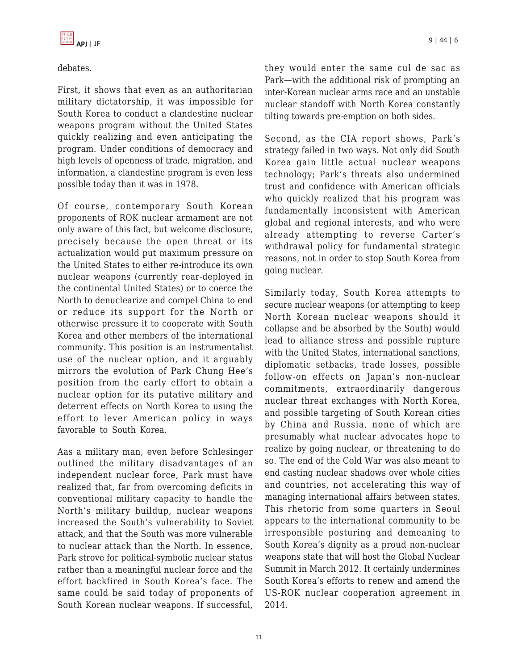debates.

First, it shows that even as an authoritarian military dictatorship, it was impossible for South Korea to conduct a clandestine nuclear weapons program without the United States quickly realizing and even anticipating the program. Under conditions of democracy and high levels of openness of trade, migration, and information, a clandestine program is even less possible today than it was in 1978.

Of course, contemporary South Korean proponents of ROK nuclear armament are not only aware of this fact, but welcome disclosure, precisely because the open threat or its actualization would put maximum pressure on the United States to either re-introduce its own nuclear weapons (currently rear-deployed in the continental United States) or to coerce the North to denuclearize and compel China to end or reduce its support for the North or otherwise pressure it to cooperate with South Korea and other members of the international community. This position is an instrumentalist use of the nuclear option, and it arguably mirrors the evolution of Park Chung Hee's position from the early effort to obtain a nuclear option for its putative military and deterrent effects on North Korea to using the effort to lever American policy in ways favorable to South Korea.

Aas a military man, even before Schlesinger outlined the military disadvantages of an independent nuclear force, Park must have realized that, far from overcoming deficits in conventional military capacity to handle the North's military buildup, nuclear weapons increased the South's vulnerability to Soviet attack, and that the South was more vulnerable to nuclear attack than the North. In essence, Park strove for political-symbolic nuclear status rather than a meaningful nuclear force and the effort backfired in South Korea's face. The same could be said today of proponents of South Korean nuclear weapons. If successful,

they would enter the same cul de sac as Park—with the additional risk of prompting an inter-Korean nuclear arms race and an unstable nuclear standoff with North Korea constantly tilting towards pre-emption on both sides.

Second, as the CIA report shows, Park's strategy failed in two ways. Not only did South Korea gain little actual nuclear weapons technology; Park's threats also undermined trust and confidence with American officials who quickly realized that his program was fundamentally inconsistent with American global and regional interests, and who were already attempting to reverse Carter's withdrawal policy for fundamental strategic reasons, not in order to stop South Korea from going nuclear.

Similarly today, South Korea attempts to secure nuclear weapons (or attempting to keep North Korean nuclear weapons should it collapse and be absorbed by the South) would lead to alliance stress and possible rupture with the United States, international sanctions, diplomatic setbacks, trade losses, possible follow-on effects on Japan's non-nuclear commitments, extraordinarily dangerous nuclear threat exchanges with North Korea, and possible targeting of South Korean cities by China and Russia, none of which are presumably what nuclear advocates hope to realize by going nuclear, or threatening to do so. The end of the Cold War was also meant to end casting nuclear shadows over whole cities and countries, not accelerating this way of managing international affairs between states. This rhetoric from some quarters in Seoul appears to the international community to be irresponsible posturing and demeaning to South Korea's dignity as a proud non-nuclear weapons state that will host the Global Nuclear Summit in March 2012. It certainly undermines South Korea's efforts to renew and amend the US-ROK nuclear cooperation agreement in 2014.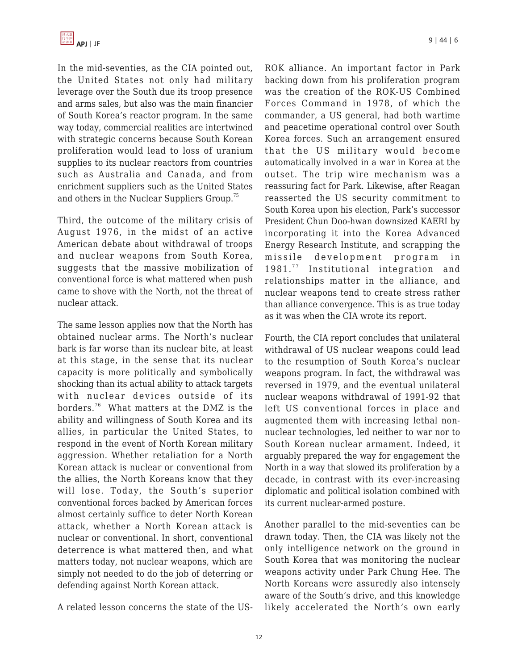

In the mid-seventies, as the CIA pointed out, the United States not only had military leverage over the South due its troop presence and arms sales, but also was the main financier of South Korea's reactor program. In the same way today, commercial realities are intertwined with strategic concerns because South Korean proliferation would lead to loss of uranium supplies to its nuclear reactors from countries such as Australia and Canada, and from enrichment suppliers such as the United States and others in the Nuclear Suppliers Group.<sup>75</sup>

Third, the outcome of the military crisis of August 1976, in the midst of an active American debate about withdrawal of troops and nuclear weapons from South Korea, suggests that the massive mobilization of conventional force is what mattered when push came to shove with the North, not the threat of nuclear attack.

The same lesson applies now that the North has obtained nuclear arms. The North's nuclear bark is far worse than its nuclear bite, at least at this stage, in the sense that its nuclear capacity is more politically and symbolically shocking than its actual ability to attack targets with nuclear devices outside of its borders.<sup>76</sup> What matters at the DMZ is the ability and willingness of South Korea and its allies, in particular the United States, to respond in the event of North Korean military aggression. Whether retaliation for a North Korean attack is nuclear or conventional from the allies, the North Koreans know that they will lose. Today, the South's superior conventional forces backed by American forces almost certainly suffice to deter North Korean attack, whether a North Korean attack is nuclear or conventional. In short, conventional deterrence is what mattered then, and what matters today, not nuclear weapons, which are simply not needed to do the job of deterring or defending against North Korean attack.

A related lesson concerns the state of the US-

ROK alliance. An important factor in Park backing down from his proliferation program was the creation of the ROK-US Combined Forces Command in 1978, of which the commander, a US general, had both wartime and peacetime operational control over South Korea forces. Such an arrangement ensured that the US military would become automatically involved in a war in Korea at the outset. The trip wire mechanism was a reassuring fact for Park. Likewise, after Reagan reasserted the US security commitment to South Korea upon his election, Park's successor President Chun Doo-hwan downsized KAERI by incorporating it into the Korea Advanced Energy Research Institute, and scrapping the missile development program in 1981.<sup>77</sup> Institutional integration and relationships matter in the alliance, and nuclear weapons tend to create stress rather than alliance convergence. This is as true today as it was when the CIA wrote its report.

Fourth, the CIA report concludes that unilateral withdrawal of US nuclear weapons could lead to the resumption of South Korea's nuclear weapons program. In fact, the withdrawal was reversed in 1979, and the eventual unilateral nuclear weapons withdrawal of 1991-92 that left US conventional forces in place and augmented them with increasing lethal nonnuclear technologies, led neither to war nor to South Korean nuclear armament. Indeed, it arguably prepared the way for engagement the North in a way that slowed its proliferation by a decade, in contrast with its ever-increasing diplomatic and political isolation combined with its current nuclear-armed posture.

Another parallel to the mid-seventies can be drawn today. Then, the CIA was likely not the only intelligence network on the ground in South Korea that was monitoring the nuclear weapons activity under Park Chung Hee. The North Koreans were assuredly also intensely aware of the South's drive, and this knowledge likely accelerated the North's own early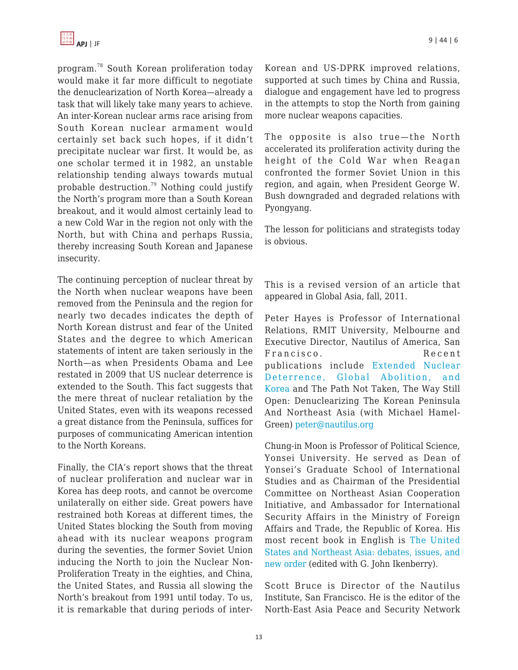program.<sup>78</sup> South Korean proliferation today would make it far more difficult to negotiate the denuclearization of North Korea—already a task that will likely take many years to achieve. An inter-Korean nuclear arms race arising from South Korean nuclear armament would certainly set back such hopes, if it didn't precipitate nuclear war first. It would be, as one scholar termed it in 1982, an unstable relationship tending always towards mutual probable destruction.<sup>79</sup> Nothing could justify the North's program more than a South Korean breakout, and it would almost certainly lead to a new Cold War in the region not only with the North, but with China and perhaps Russia, thereby increasing South Korean and Japanese insecurity.

The continuing perception of nuclear threat by the North when nuclear weapons have been removed from the Peninsula and the region for nearly two decades indicates the depth of North Korean distrust and fear of the United States and the degree to which American statements of intent are taken seriously in the North—as when Presidents Obama and Lee restated in 2009 that US nuclear deterrence is extended to the South. This fact suggests that the mere threat of nuclear retaliation by the United States, even with its weapons recessed a great distance from the Peninsula, suffices for purposes of communicating American intention to the North Koreans.

Finally, the CIA's report shows that the threat of nuclear proliferation and nuclear war in Korea has deep roots, and cannot be overcome unilaterally on either side. Great powers have restrained both Koreas at different times, the United States blocking the South from moving ahead with its nuclear weapons program during the seventies, the former Soviet Union inducing the North to join the Nuclear Non-Proliferation Treaty in the eighties, and China, the United States, and Russia all slowing the North's breakout from 1991 until today. To us, it is remarkable that during periods of interKorean and US-DPRK improved relations, supported at such times by China and Russia, dialogue and engagement have led to progress in the attempts to stop the North from gaining more nuclear weapons capacities.

The opposite is also true—the North accelerated its proliferation activity during the height of the Cold War when Reagan confronted the former Soviet Union in this region, and again, when President George W. Bush downgraded and degraded relations with Pyongyang.

The lesson for politicians and strategists today is obvious.

This is a revised version of an article that appeared in Global Asia, fall, 2011.

Peter Hayes is Professor of International Relations, RMIT University, Melbourne and Executive Director, Nautilus of America, San Francisco. Recent publications include [Extended Nuclear](https://apjjf.org/-Peter-Hayes/3268) [Deterrence, Global Abolition, and](https://apjjf.org/-Peter-Hayes/3268) [Korea](https://apjjf.org/-Peter-Hayes/3268) and The Path Not Taken, The Way Still Open: Denuclearizing The Korean Peninsula And Northeast Asia (with Michael Hamel-Green) [peter@nautilus.org](https://apjjf.org/mailto:peter@nautilus.org)

Chung-in Moon is Professor of Political Science, Yonsei University. He served as Dean of Yonsei's Graduate School of International Studies and as Chairman of the Presidential Committee on Northeast Asian Cooperation Initiative, and Ambassador for International Security Affairs in the Ministry of Foreign Affairs and Trade, the Republic of Korea. His most recent book in English is [The United](http://www.amazon.com/dp/0742556395/?tag=theasipacjo0b-20) [States and Northeast Asia: debates, issues, and](http://www.amazon.com/dp/0742556395/?tag=theasipacjo0b-20) [new order](http://www.amazon.com/dp/0742556395/?tag=theasipacjo0b-20) (edited with G. John Ikenberry).

Scott Bruce is Director of the Nautilus Institute, San Francisco. He is the editor of the North-East Asia Peace and Security Network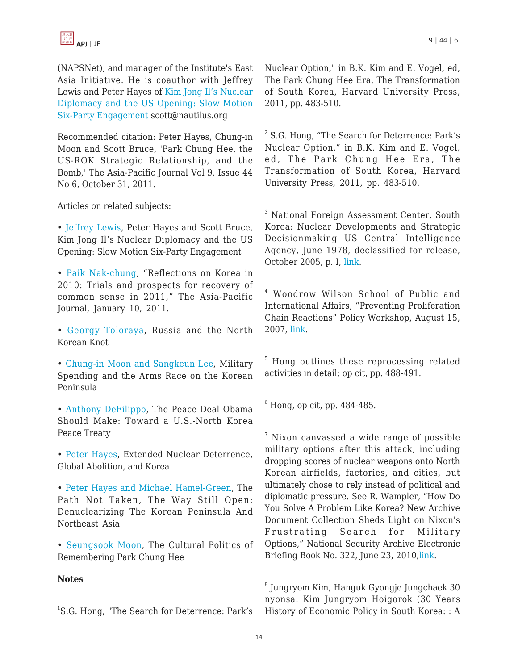

(NAPSNet), and manager of the Institute's East Asia Initiative. He is coauthor with Jeffrey Lewis and Peter Hayes of [Kim Jong Il's Nuclear](https://apjjf.org/-Jeffrey-Lewis/3620) [Diplomacy and the US Opening: Slow Motion](https://apjjf.org/-Jeffrey-Lewis/3620) [Six-Party Engagement](https://apjjf.org/-Jeffrey-Lewis/3620) scott@nautilus.org

Recommended citation: Peter Hayes, Chung-in Moon and Scott Bruce, 'Park Chung Hee, the US-ROK Strategic Relationship, and the Bomb,' The Asia-Pacific Journal Vol 9, Issue 44 No 6, October 31, 2011.

Articles on related subjects:

• [Jeffrey Lewis](https://apjjf.org/-Jeffrey-Lewis/3620), Peter Hayes and Scott Bruce, Kim Jong Il's Nuclear Diplomacy and the US Opening: Slow Motion Six-Party Engagement

• [Paik Nak-chung](https://apjjf.org/-Paik-Nak_chung/3466), "Reflections on Korea in 2010: Trials and prospects for recovery of common sense in 2011," The Asia-Pacific Journal, January 10, 2011.

• [Georgy Toloraya,](https://apjjf.org/-Georgy-Toloraya/3345) Russia and the North Korean Knot

• [Chung-in Moon and Sangkeun Lee](https://apjjf.org/-Sangkeun-Lee/3333), Military Spending and the Arms Race on the Korean Peninsula

• [Anthony DeFilippo,](https://apjjf.org/-Anthony-DiFilippo/3304) The Peace Deal Obama Should Make: Toward a U.S.-North Korea Peace Treaty

• [Peter Hayes,](https://apjjf.org/-Peter-Hayes/3268) Extended Nuclear Deterrence, Global Abolition, and Korea

• [Peter Hayes and Michael Hamel-Green,](https://apjjf.org/-Michael-Hamel_Green/3267) The Path Not Taken, The Way Still Open: Denuclearizing The Korean Peninsula And Northeast Asia

• [Seungsook Moon,](https://apjjf.org/-Seungsook-Moon/3140) The Cultural Politics of Remembering Park Chung Hee

#### **Notes**

<sup>1</sup>S.G. Hong, "The Search for Deterrence: Park's

Nuclear Option," in B.K. Kim and E. Vogel, ed, The Park Chung Hee Era, The Transformation of South Korea, Harvard University Press, 2011, pp. 483-510.

<sup>2</sup> S.G. Hong, "The Search for Deterrence: Park's Nuclear Option," in B.K. Kim and E. Vogel, ed, The Park Chung Hee Era, The Transformation of South Korea, Harvard University Press, 2011, pp. 483-510.

<sup>3</sup> National Foreign Assessment Center, South Korea: Nuclear Developments and Strategic Decisionmaking US Central Intelligence Agency, June 1978, declassified for release, October 2005, p. I, [link](http://nautilus.org/publications/essays/napsnet/reports/CIA_ROK_Nuclear_DecisionMaking).

4 Woodrow Wilson School of Public and International Affairs, "Preventing Proliferation Chain Reactions" Policy Workshop, August 15, 2007, [link.](http://wws.princeton.edu/grad/courses/syllabi_f07/wws591f.pdf)

<sup>5</sup> Hong outlines these reprocessing related activities in detail; op cit, pp. 488-491.

 $6$  Hong, op cit, pp. 484-485.

 $\frac{7}{7}$  Nixon canvassed a wide range of possible military options after this attack, including dropping scores of nuclear weapons onto North Korean airfields, factories, and cities, but ultimately chose to rely instead of political and diplomatic pressure. See R. Wampler, "How Do You Solve A Problem Like Korea? New Archive Document Collection Sheds Light on Nixon's Frustrating Search for Military Options," National Security Archive Electronic Briefing Book No. 322, June 23, 2010[,link](http://www.gwu.edu/~nsarchiv/NSAEBB/NSAEBB322/index.htm).

8 Jungryom Kim, Hanguk Gyongje Jungchaek 30 nyonsa: Kim Jungryom Hoigorok (30 Years History of Economic Policy in South Korea: : A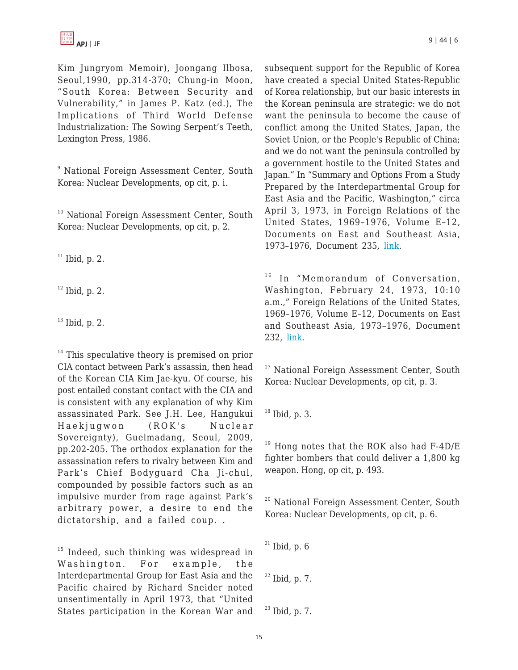Kim Jungryom Memoir), Joongang Ilbosa, Seoul,1990, pp.314-370; Chung-in Moon, "South Korea: Between Security and Vulnerability," in James P. Katz (ed.), The Implications of Third World Defense Industrialization: The Sowing Serpent's Teeth, Lexington Press, 1986.

<sup>9</sup> National Foreign Assessment Center, South Korea: Nuclear Developments, op cit, p. i.

<sup>10</sup> National Foreign Assessment Center, South Korea: Nuclear Developments, op cit, p. 2.

 $11$  Ibid, p. 2.

 $12$  Ibid, p. 2.

 $13$  Ibid, p. 2.

 $14$  This speculative theory is premised on prior CIA contact between Park's assassin, then head of the Korean CIA Kim Jae-kyu. Of course, his post entailed constant contact with the CIA and is consistent with any explanation of why Kim assassinated Park. See J.H. Lee, Hangukui Haekjugwon (ROK's Nuclear Sovereignty), Guelmadang, Seoul, 2009, pp.202-205. The orthodox explanation for the assassination refers to rivalry between Kim and Park's Chief Bodyguard Cha Ji-chul, compounded by possible factors such as an impulsive murder from rage against Park's arbitrary power, a desire to end the dictatorship, and a failed coup. .

 $15$  Indeed, such thinking was widespread in Washington. For example, the Interdepartmental Group for East Asia and the Pacific chaired by Richard Sneider noted unsentimentally in April 1973, that "United States participation in the Korean War and subsequent support for the Republic of Korea have created a special United States-Republic of Korea relationship, but our basic interests in the Korean peninsula are strategic: we do not want the peninsula to become the cause of conflict among the United States, Japan, the Soviet Union, or the People's Republic of China; and we do not want the peninsula controlled by a government hostile to the United States and Japan." In "Summary and Options From a Study Prepared by the Interdepartmental Group for East Asia and the Pacific, Washington," circa April 3, 1973, in Foreign Relations of the United States, 1969–1976, Volume E–12, Documents on East and Southeast Asia, 1973–1976, Document 235, [link.](http://history.state.gov/historicaldocuments/frus1969-76ve12/d235)

<sup>16</sup> In "Memorandum of Conversation, Washington, February 24, 1973, 10:10 a.m.," Foreign Relations of the United States, 1969–1976, Volume E–12, Documents on East and Southeast Asia, 1973–1976, Document 232, [link.](http://history.state.gov/historicaldocuments/frus1969-76ve12/d232)

<sup>17</sup> National Foreign Assessment Center, South Korea: Nuclear Developments, op cit, p. 3.

 $18$  Ibid, p. 3.

 $19$  Hong notes that the ROK also had F-4D/E fighter bombers that could deliver a 1,800 kg weapon. Hong, op cit, p. 493.

<sup>20</sup> National Foreign Assessment Center, South Korea: Nuclear Developments, op cit, p. 6.

 $21$  Ibid, p. 6

 $22$  Ibid, p. 7.

 $23$  Ibid, p. 7.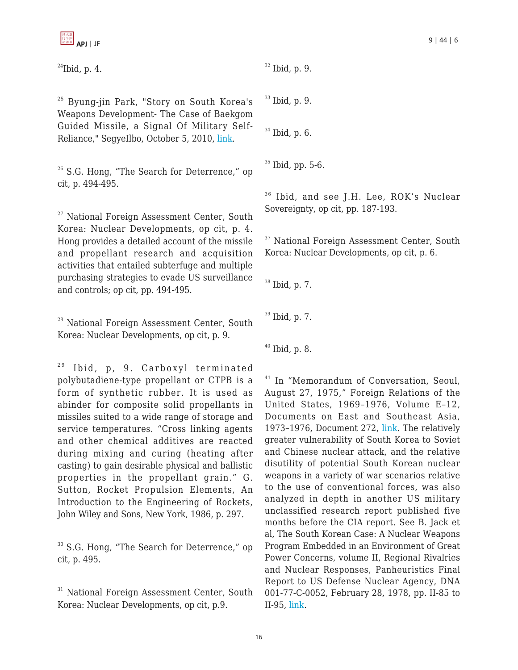$$
\frac{\frac{1}{\left|1\right| \times \left|0\right|}}{\frac{1}{\left|1\right| \times \left|0\right|}}
$$
 **API** | JF 9 | A4 | 6

 $^{24}$ Ibid, p. 4.

<sup>25</sup> Byung-jin Park, "Story on South Korea's Weapons Development- The Case of Baekgom Guided Missile, a Signal Of Military Self-Reliance," SegyeIlbo, October 5, 2010, [link.](http://www.segye.com/Articles/News/Politics/Article.asp?aid=20101005003502&ctg1=07&ctg2=00&subctg1=07&subctg2=00&cid=0101010700000)

 $26$  S.G. Hong, "The Search for Deterrence," op cit, p. 494-495.

<sup>27</sup> National Foreign Assessment Center, South Korea: Nuclear Developments, op cit, p. 4. Hong provides a detailed account of the missile and propellant research and acquisition activities that entailed subterfuge and multiple purchasing strategies to evade US surveillance and controls; op cit, pp. 494-495.

<sup>28</sup> National Foreign Assessment Center, South Korea: Nuclear Developments, op cit, p. 9.

 $29$  Ibid, p, 9. Carboxyl terminated polybutadiene-type propellant or CTPB is a form of synthetic rubber. It is used as abinder for composite solid propellants in missiles suited to a wide range of storage and service temperatures. "Cross linking agents and other chemical additives are reacted during mixing and curing (heating after casting) to gain desirable physical and ballistic properties in the propellant grain." G. Sutton, Rocket Propulsion Elements, An Introduction to the Engineering of Rockets, John Wiley and Sons, New York, 1986, p. 297.

<sup>30</sup> S.G. Hong, "The Search for Deterrence," op cit, p. 495.

<sup>31</sup> National Foreign Assessment Center, South Korea: Nuclear Developments, op cit, p.9.

<sup>32</sup> Ibid, p. 9.

 $33$  Ibid, p. 9.

<sup>34</sup> Ibid, p. 6.

 $35$  Ibid, pp. 5-6.

<sup>36</sup> Ibid, and see J.H. Lee, ROK's Nuclear Sovereignty, op cit, pp. 187-193.

<sup>37</sup> National Foreign Assessment Center, South Korea: Nuclear Developments, op cit, p. 6.

<sup>38</sup> Ibid, p. 7.

 $39$  Ibid, p. 7.

 $40$  Ibid, p. 8.

<sup>41</sup> In "Memorandum of Conversation, Seoul, August 27, 1975," Foreign Relations of the United States, 1969–1976, Volume E–12, Documents on East and Southeast Asia, 1973–1976, Document 272, [link.](http://history.state.gov/historicaldocuments/frus1969-76ve12/d272) The relatively greater vulnerability of South Korea to Soviet and Chinese nuclear attack, and the relative disutility of potential South Korean nuclear weapons in a variety of war scenarios relative to the use of conventional forces, was also analyzed in depth in another US military unclassified research report published five months before the CIA report. See B. Jack et al, The South Korean Case: A Nuclear Weapons Program Embedded in an Environment of Great Power Concerns, volume II, Regional Rivalries and Nuclear Responses, Panheuristics Final Report to US Defense Nuclear Agency, DNA 001-77-C-0052, February 28, 1978, pp. II-85 to II-95, [link.](http://nautilus.org/publications/essays/napsnet/reports/Panheuristics_ROK_Regional_Rivalries)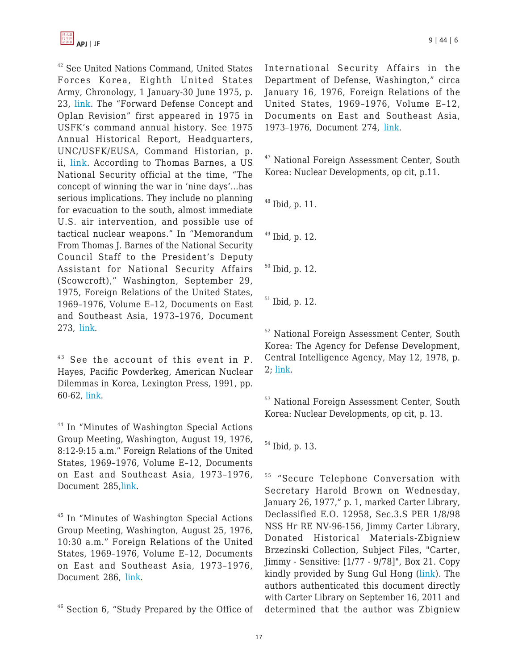<sup>42</sup> See United Nations Command, United States Forces Korea, Eighth United States Army, Chronology, 1 January-30 June 1975, p. 23, [link](http://www.nautilus.org/projects/foia/foiachrons/army_chro_1975.pdf). The "Forward Defense Concept and Oplan Revision" first appeared in 1975 in USFK's command annual history. See 1975 Annual Historical Report, Headquarters, UNC/USFK/EUSA, Command Historian, p. ii, [link.](http://www.nautilus.org/projects/foia/foiachrons/ahr_seventyfive.pdf) According to Thomas Barnes, a US National Security official at the time, "The concept of winning the war in 'nine days'…has serious implications. They include no planning for evacuation to the south, almost immediate U.S. air intervention, and possible use of tactical nuclear weapons." In "Memorandum From Thomas J. Barnes of the National Security Council Staff to the President's Deputy Assistant for National Security Affairs (Scowcroft)," Washington, September 29, 1975, Foreign Relations of the United States, 1969–1976, Volume E–12, Documents on East and Southeast Asia, 1973–1976, Document 273, [link.](http://history.state.gov/historicaldocuments/frus1969-76ve12/d273)

 $43$  See the account of this event in P. Hayes, Pacific Powderkeg, American Nuclear Dilemmas in Korea, Lexington Press, 1991, pp. 60-62, [link](http://www.nautilus.org/about/staff/peter-hayes/PacificPowderkegbyPeterHayes.pdf).

<sup>44</sup> In "Minutes of Washington Special Actions Group Meeting, Washington, August 19, 1976, 8:12-9:15 a.m." Foreign Relations of the United States, 1969–1976, Volume E–12, Documents on East and Southeast Asia, 1973–1976, Document 285[,link.](http://history.state.gov/historicaldocuments/frus1969-76ve12/d285)

<sup>45</sup> In "Minutes of Washington Special Actions Group Meeting, Washington, August 25, 1976, 10:30 a.m." Foreign Relations of the United States, 1969–1976, Volume E–12, Documents on East and Southeast Asia, 1973–1976, Document 286, [link.](http://history.state.gov/historicaldocuments/frus1969-76ve12/d286)

<sup>46</sup> Section 6, "Study Prepared by the Office of

International Security Affairs in the Department of Defense, Washington," circa January 16, 1976, Foreign Relations of the United States, 1969–1976, Volume E–12, Documents on East and Southeast Asia, 1973–1976, Document 274, [link.](http://history.state.gov/historicaldocuments/frus1969-76ve12/d274)

<sup>47</sup> National Foreign Assessment Center, South Korea: Nuclear Developments, op cit, p.11.

<sup>48</sup> Ibid, p. 11.

 $49$  Ibid, p. 12.

 $50$  Ibid, p. 12.

<sup>51</sup> Ibid, p. 12.

<sup>52</sup> National Foreign Assessment Center, South Korea: The Agency for Defense Development, Central Intelligence Agency, May 12, 1978, p. 2; [link](http://nsarchive.chadwyck.com/nsa/documents/KO/00260/all.pdf).

<sup>53</sup> National Foreign Assessment Center, South Korea: Nuclear Developments, op cit, p. 13.

<sup>54</sup> Ibid, p. 13.

<sup>55</sup> "Secure Telephone Conversation with Secretary Harold Brown on Wednesday, January 26, 1977," p. 1, marked Carter Library, Declassified E.O. 12958, Sec.3.S PER 1/8/98 NSS Hr RE NV-96-156, Jimmy Carter Library, Donated Historical Materials-Zbigniew Brzezinski Collection, Subject Files, "Carter, Jimmy - Sensitive: [1/77 - 9/78]", Box 21. Copy kindly provided by Sung Gul Hong ([link\)](http://nautilus.org/publications/essays/napsnet/reports/Memo_Brown_conversation). The authors authenticated this document directly with Carter Library on September 16, 2011 and determined that the author was Zbigniew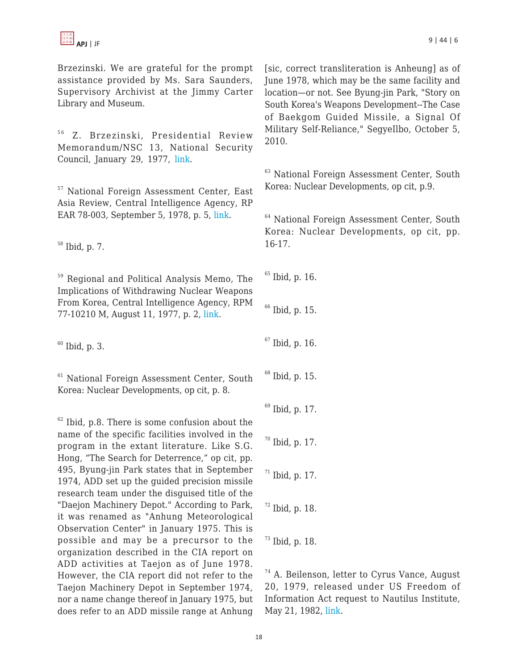Brzezinski. We are grateful for the prompt assistance provided by Ms. Sara Saunders, Supervisory Archivist at the Jimmy Carter Library and Museum.

<sup>56</sup> Z. Brzezinski, Presidential Review Memorandum/NSC 13, National Security Council, January 29, 1977, [link](http://www.fas.org/irp/offdocs/prm/prm13.pdf).

<sup>57</sup> National Foreign Assessment Center, East Asia Review, Central Intelligence Agency, RP EAR 78-003, September 5, 1978, p. 5, [link.](http://nautilus.org/publications/essays/napsnet/reports/CIA_EastAsiaReview)

<sup>58</sup> Ibid, p. 7.

<sup>59</sup> Regional and Political Analysis Memo, The Implications of Withdrawing Nuclear Weapons From Korea, Central Intelligence Agency, RPM 77-10210 M, August 11, 1977, p. 2, [link.](http://nautilus.org/publications/essays/napsnet/reports/CIA_Withdrawing_ROK_NWs/)

 $60$  Ibid, p. 3.

<sup>61</sup> National Foreign Assessment Center, South Korea: Nuclear Developments, op cit, p. 8.

 $62$  Ibid, p.8. There is some confusion about the name of the specific facilities involved in the program in the extant literature. Like S.G. Hong, "The Search for Deterrence," op cit, pp. 495, Byung-jin Park states that in September 1974, ADD set up the guided precision missile research team under the disguised title of the "Daejon Machinery Depot." According to Park, it was renamed as "Anhung Meteorological Observation Center" in January 1975. This is possible and may be a precursor to the organization described in the CIA report on ADD activities at Taejon as of June 1978. However, the CIA report did not refer to the Taejon Machinery Depot in September 1974, nor a name change thereof in January 1975, but does refer to an ADD missile range at Anhung

[sic, correct transliteration is Anheung] as of June 1978, which may be the same facility and location—or not. See Byung-jin Park, "Story on South Korea's Weapons Development--The Case of Baekgom Guided Missile, a Signal Of Military Self-Reliance," SegyeIlbo, October 5, 2010.

<sup>63</sup> National Foreign Assessment Center, South Korea: Nuclear Developments, op cit, p.9.

<sup>64</sup> National Foreign Assessment Center, South Korea: Nuclear Developments, op cit, pp. 16-17.

 Ibid, p. 16. Ibid, p. 15. Ibid, p. 16. Ibid, p. 15. Ibid, p. 17. Ibid, p. 17. Ibid, p. 17. Ibid, p. 18.

 $^{73}$  Ibid, p. 18.

<sup>74</sup> A. Beilenson, letter to Cyrus Vance, August 20, 1979, released under US Freedom of Information Act request to Nautilus Institute, May 21, 1982, [link.](http://nautilus.org/publications/essays/napsnet/reports/Cyrus_Vance_letter)